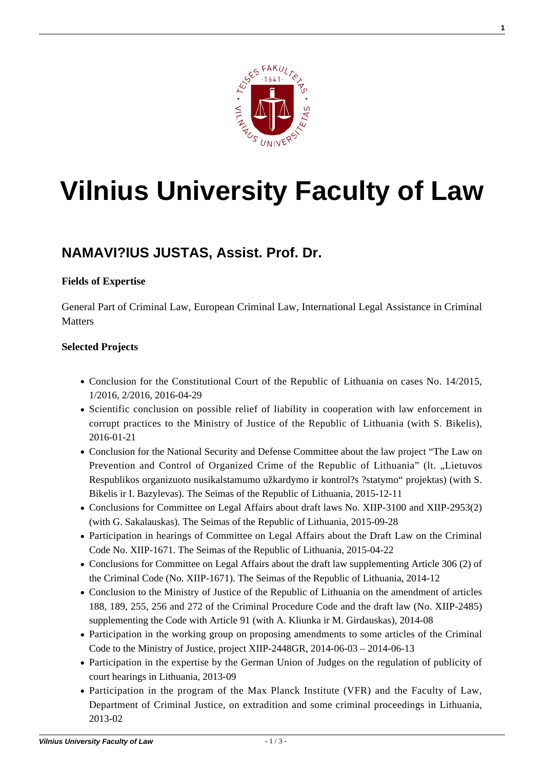

# **[Vilnius University Faculty of Law](https://www.tf.vu.lt/)**

## **[NAMAVI?IUS JUSTAS, Assist. Prof. Dr.](https://www.tf.vu.lt/about_us/science-centers/science-center-of-criminal-law-general-part/namavicius-justas-assist-prof-dr/)**

#### **Fields of Expertise**

General Part of Criminal Law, European Criminal Law, International Legal Assistance in Criminal **Matters** 

#### **Selected Projects**

- Conclusion for the Constitutional Court of the Republic of Lithuania on cases No. 14/2015, 1/2016, 2/2016, 2016-04-29
- Scientific conclusion on possible relief of liability in cooperation with law enforcement in corrupt practices to the Ministry of Justice of the Republic of Lithuania (with S. Bikelis), 2016-01-21
- Conclusion for the National Security and Defense Committee about the law project "The Law on Prevention and Control of Organized Crime of the Republic of Lithuania" (lt. "Lietuvos Respublikos organizuoto nusikalstamumo užkardymo ir kontrol?s ?statymo" projektas) (with S. Bikelis ir I. Bazylevas). The Seimas of the Republic of Lithuania, 2015-12-11
- Conclusions for Committee on Legal Affairs about draft laws No. XIIP-3100 and XIIP-2953(2) (with G. Sakalauskas). The Seimas of the Republic of Lithuania, 2015-09-28
- Participation in hearings of Committee on Legal Affairs about the Draft Law on the Criminal Code No. XIIP-1671. The Seimas of the Republic of Lithuania, 2015-04-22
- Conclusions for Committee on Legal Affairs about the draft law supplementing Article 306 (2) of the Criminal Code (No. XIIP-1671). The Seimas of the Republic of Lithuania, 2014-12
- Conclusion to the Ministry of Justice of the Republic of Lithuania on the amendment of articles 188, 189, 255, 256 and 272 of the Criminal Procedure Code and the draft law (No. XIIP-2485) supplementing the Code with Article 91 (with A. Kliunka ir M. Girdauskas), 2014-08
- Participation in the working group on proposing amendments to some articles of the Criminal Code to the Ministry of Justice, project XIIP-2448GR,  $2014-06-03 - 2014-06-13$
- Participation in the expertise by the German Union of Judges on the regulation of publicity of court hearings in Lithuania, 2013-09
- Participation in the program of the Max Planck Institute (VFR) and the Faculty of Law, Department of Criminal Justice, on extradition and some criminal proceedings in Lithuania, 2013-02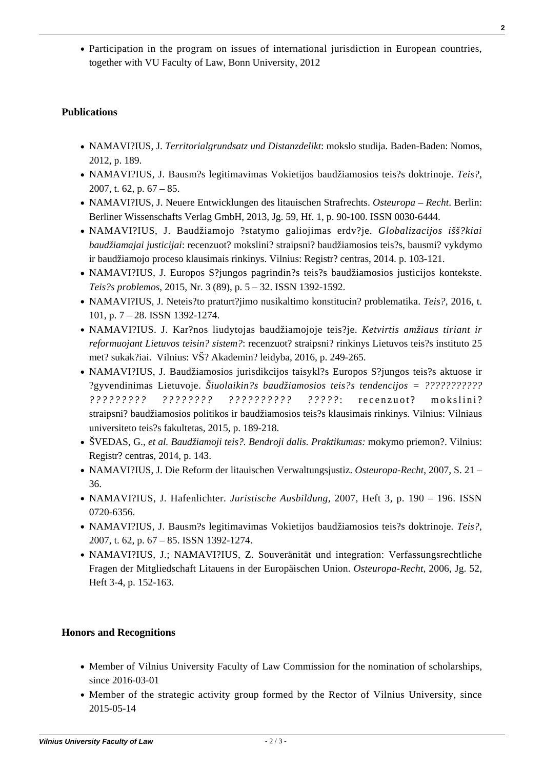Participation in the program on issues of international jurisdiction in European countries, together with VU Faculty of Law, Bonn University, 2012

### **Publications**

- NAMAVI?IUS, J. *Territorialgrundsatz und Distanzdelikt*: mokslo studija. Baden-Baden: Nomos, 2012, p. 189.
- NAMAVI?IUS, J. Bausm?s legitimavimas Vokietijos baudžiamosios teis?s doktrinoje. *Teis?,* 2007, t. 62, p. 67 – 85.
- NAMAVI?IUS, J. Neuere Entwicklungen des litauischen Strafrechts. *Osteuropa Recht*. Berlin: Berliner Wissenschafts Verlag GmbH, 2013, Jg. 59, Hf. 1, p. 90-100. ISSN 0030-6444.
- NAMAVI?IUS, J. Baudžiamojo ?statymo galiojimas erdv?je. *Globalizacijos išš?kiai baudžiamajai justicijai*: recenzuot? mokslini? straipsni? baudžiamosios teis?s, bausmi? vykdymo ir baudžiamojo proceso klausimais rinkinys. Vilnius: Registr? centras, 2014. p. 103-121.
- [NAMAVI?IUS, J. Europos S?jungos pagrindin?s teis?s baudžiamosios justicijos kontekste.](http://teise.org/wp-content/uploads/2016/07/J.Namavi%C4%8Dius-2015_3-.pdf) *[Teis?s problemos](http://teise.org/wp-content/uploads/2016/07/J.Namavi%C4%8Dius-2015_3-.pdf)*[, 2015, Nr. 3 \(89\), p. 5 – 32. ISSN](http://teise.org/wp-content/uploads/2016/07/J.Namavi%C4%8Dius-2015_3-.pdf) [1392-1592.](http://teise.org/wp-content/uploads/2016/07/J.Namavi%C4%8Dius-2015_3-.pdf)
- [NAMAVI?IUS, J. Neteis?to praturt?jimo nusikaltimo konstitucin? problematika.](http://www.zurnalai.vu.lt/teise/article/view/10441) *[Teis?,](http://www.zurnalai.vu.lt/teise/article/view/10441)* [2016, t.](http://www.zurnalai.vu.lt/teise/article/view/10441) [101, p. 7 – 28. ISSN 1392-1274.](http://www.zurnalai.vu.lt/teise/article/view/10441)
- [NAMAVI?IUS. J. Kar?nos liudytojas baudžiamojoje teis?je.](http://teise.org/wp-content/uploads/2017/01/Ketvirtis-amziaus-rinkinys.pdf) *[Ketvirtis amžiaus tiriant ir](http://teise.org/wp-content/uploads/2017/01/Ketvirtis-amziaus-rinkinys.pdf) [reformuojant Lietuvos teisin? sistem?](http://teise.org/wp-content/uploads/2017/01/Ketvirtis-amziaus-rinkinys.pdf)*[: recenzuot? straipsni? rinkinys Lietuvos teis?s instituto 25](http://teise.org/wp-content/uploads/2017/01/Ketvirtis-amziaus-rinkinys.pdf) [met? sukak?iai. Vilnius: VŠ? Akademin? leidyba, 2016, p. 249-265.](http://teise.org/wp-content/uploads/2017/01/Ketvirtis-amziaus-rinkinys.pdf)
- NAMAVI?IUS, J. Baudžiamosios jurisdikcijos taisykl?s Europos S?jungos teis?s aktuose ir ?gyvendinimas Lietuvoje. *Šiuolaikin?s baudžiamosios teis?s tendencijos = ??????????? ????????? ???????? ?????????? ?????* : recenzuot? mokslini? straipsni? baudžiamosios politikos ir baudžiamosios teis?s klausimais rinkinys. Vilnius: Vilniaus universiteto teis?s fakultetas, 2015, p. 189-218.
- ŠVEDAS, G., *et al. Baudžiamoji teis?. Bendroji dalis. Praktikumas:* mokymo priemon?. Vilnius: Registr? centras, 2014, p. 143.
- NAMAVI?IUS, J. Die Reform der litauischen Verwaltungsjustiz. *Osteuropa-Recht*, 2007, S. 21 36.
- NAMAVI?IUS, J. Hafenlichter. *Juristische Ausbildung*, 2007, Heft 3, p. 190 196. ISSN 0720-6356.
- NAMAVI?IUS, J. Bausm?s legitimavimas Vokietijos baudžiamosios teis?s doktrinoje. *Teis?,* 2007, t. 62, p. 67 – 85. ISSN 1392-1274.
- NAMAVI?IUS, J.; NAMAVI?IUS, Z. Souveränität und integration: Verfassungsrechtliche Fragen der Mitgliedschaft Litauens in der Europäischen Union. *Osteuropa-Recht*, 2006, Jg. 52, Heft 3-4, p. 152-163.

#### **Honors and Recognitions**

- Member of Vilnius University Faculty of Law Commission for the nomination of scholarships, since 2016-03-01
- Member of the strategic activity group formed by the Rector of Vilnius University, since 2015-05-14